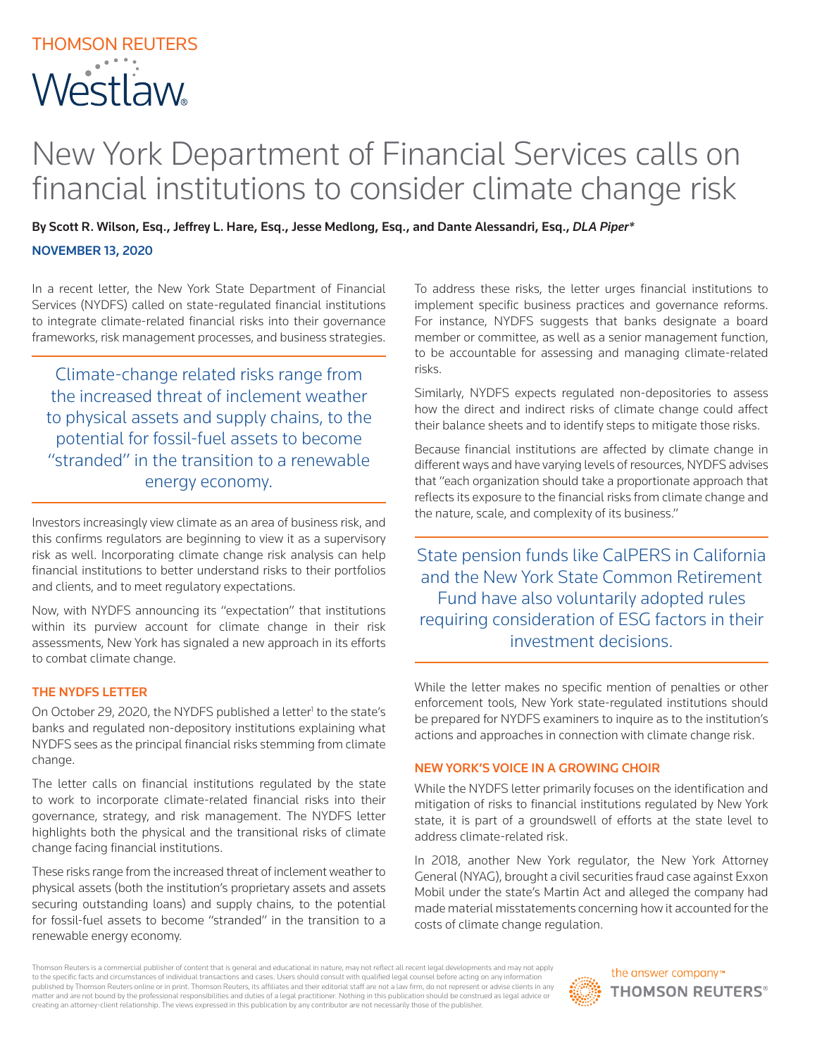# THOMSON REUTERS **Westlaw**

# New York Department of Financial Services calls on financial institutions to consider climate change risk

By Scott R. Wilson, Esq., Jeffrey L. Hare, Esq., Jesse Medlong, Esq., and Dante Alessandri, Esq., *DLA Piper\** NOVEMBER 13, 2020

In a recent letter, the New York State Department of Financial Services (NYDFS) called on state-regulated financial institutions to integrate climate-related financial risks into their governance frameworks, risk management processes, and business strategies.

Climate-change related risks range from the increased threat of inclement weather to physical assets and supply chains, to the potential for fossil-fuel assets to become "stranded" in the transition to a renewable energy economy.

the nature, scale, and complexity of its business." Investors increasingly view climate as an area of business risk, and this confirms regulators are beginning to view it as a supervisory risk as well. Incorporating climate change risk analysis can help financial institutions to better understand risks to their portfolios and clients, and to meet regulatory expectations.

Now, with NYDFS announcing its "expectation" that institutions within its purview account for climate change in their risk assessments, New York has signaled a new approach in its efforts to combat climate change.

#### THE NYDFS LETTER

On October 29, 2020, the NYDFS published a letter<sup>1</sup> to the state's banks and regulated non-depository institutions explaining what NYDFS sees as the principal financial risks stemming from climate change.

The letter calls on financial institutions regulated by the state to work to incorporate climate-related financial risks into their governance, strategy, and risk management. The NYDFS letter highlights both the physical and the transitional risks of climate change facing financial institutions.

These risks range from the increased threat of inclement weather to physical assets (both the institution's proprietary assets and assets securing outstanding loans) and supply chains, to the potential for fossil-fuel assets to become "stranded" in the transition to a renewable energy economy.

To address these risks, the letter urges financial institutions to implement specific business practices and governance reforms. For instance, NYDFS suggests that banks designate a board member or committee, as well as a senior management function, to be accountable for assessing and managing climate-related risks.

Similarly, NYDFS expects regulated non-depositories to assess how the direct and indirect risks of climate change could affect their balance sheets and to identify steps to mitigate those risks.

Because financial institutions are affected by climate change in different ways and have varying levels of resources, NYDFS advises that "each organization should take a proportionate approach that reflects its exposure to the financial risks from climate change and

State pension funds like CalPERS in California and the New York State Common Retirement Fund have also voluntarily adopted rules requiring consideration of ESG factors in their investment decisions.

While the letter makes no specific mention of penalties or other enforcement tools, New York state-regulated institutions should be prepared for NYDFS examiners to inquire as to the institution's actions and approaches in connection with climate change risk.

## NEW YORK'S VOICE IN A GROWING CHOIR

While the NYDFS letter primarily focuses on the identification and mitigation of risks to financial institutions regulated by New York state, it is part of a groundswell of efforts at the state level to address climate-related risk.

In 2018, another New York regulator, the New York Attorney General (NYAG), brought a civil securities fraud case against Exxon Mobil under the state's Martin Act and alleged the company had made material misstatements concerning how it accounted for the costs of climate change regulation.

Thomson Reuters is a commercial publisher of content that is general and educational in nature, may not reflect all recent legal developments and may not apply to the specific facts and circumstances of individual transactions and cases. Users should consult with qualified legal counsel before acting on any information<br>published by Thomson Reuters online or in print. Thomson Reut matter and are not bound by the professional responsibilities and duties of a legal practitioner. Nothing in this publication should be construed as legal advice or creating an attorney-client relationship. The views expressed in this publication by any contributor are not necessarily those of the publisher.

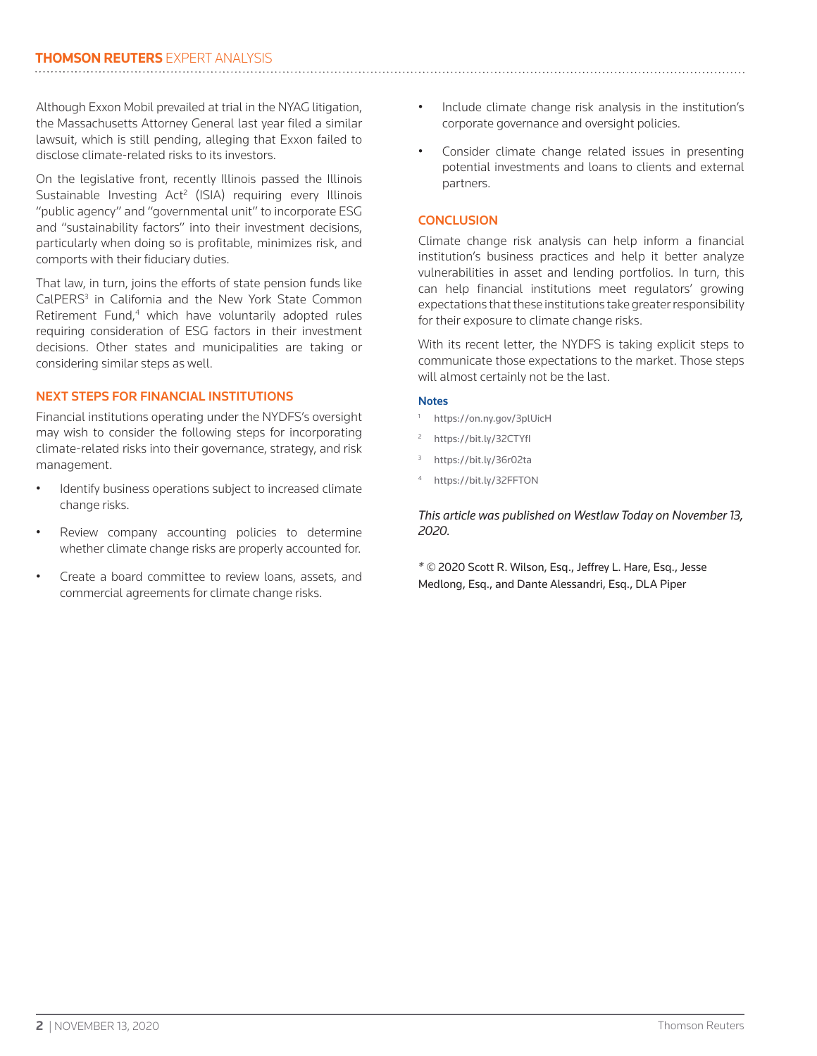Although Exxon Mobil prevailed at trial in the NYAG litigation, the Massachusetts Attorney General last year filed a similar lawsuit, which is still pending, alleging that Exxon failed to disclose climate-related risks to its investors.

On the legislative front, recently Illinois passed the Illinois Sustainable Investing Act<sup>2</sup> (ISIA) requiring every Illinois "public agency" and "governmental unit" to incorporate ESG and "sustainability factors" into their investment decisions, particularly when doing so is profitable, minimizes risk, and comports with their fiduciary duties.

That law, in turn, joins the efforts of state pension funds like CalPERS<sup>3</sup> in California and the New York State Common Retirement Fund,<sup>4</sup> which have voluntarily adopted rules requiring consideration of ESG factors in their investment decisions. Other states and municipalities are taking or considering similar steps as well.

### NEXT STEPS FOR FINANCIAL INSTITUTIONS

Financial institutions operating under the NYDFS's oversight may wish to consider the following steps for incorporating climate-related risks into their governance, strategy, and risk management.

- Identify business operations subject to increased climate change risks.
- Review company accounting policies to determine whether climate change risks are properly accounted for.
- Create a board committee to review loans, assets, and commercial agreements for climate change risks.
- Include climate change risk analysis in the institution's corporate governance and oversight policies.
- Consider climate change related issues in presenting potential investments and loans to clients and external partners.

### **CONCLUSION**

Climate change risk analysis can help inform a financial institution's business practices and help it better analyze vulnerabilities in asset and lending portfolios. In turn, this can help financial institutions meet regulators' growing expectations that these institutions take greater responsibility for their exposure to climate change risks.

With its recent letter, the NYDFS is taking explicit steps to communicate those expectations to the market. Those steps will almost certainly not be the last.

#### **Notes**

- https://on.ny.gov/3plUicH
- https://bit.ly/32CTYfl
- <sup>3</sup> https://bit.ly/36r02ta
- https://bit.ly/32FFTON

*This article was published on Westlaw Today on November 13, 2020.*

*\* ©* 2020 Scott R. Wilson, Esq., Jeffrey L. Hare, Esq., Jesse Medlong, Esq., and Dante Alessandri, Esq., DLA Piper